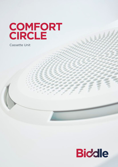# **COMFORT CIRCLE**

Cassette Unit

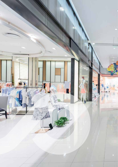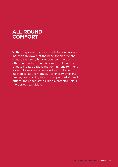# **ALL ROUND COMFORT**

With today's energy prices, building owners are increasingly aware of the need for an efficient climate system to heat or cool commercial offices and retail areas. A comfortable indoor climate creates a pleasant working environment for employees, and clients will naturally be inclined to stay for longer. For energy efficient heating and cooling in shops, supermarkets and offices, the space-saving Biddle cassette unit is the perfect candidate.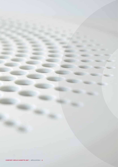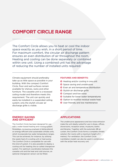# **COMFORT CIRCLE RANGE**

The Comfort Circle allows you to heat or cool the indoor space exactly as you wish, in a short period of time. For maximum comfort, the circular air discharge pattern ensures an even distribution of air throughout the room. Heating and cooling can be done separately or combined within one unit. Using a combined unit has the advantage of reducing the number of installed units required.

Climate equipment should preferably take up as little space as possible in your building. With the compact Comfort Circle, floor and wall surfaces remain available for shelves, racks and other furniture. The cassette unit is a recessed ceiling model and therefore meets this requirement. The unit can quickly and easily be installed in a suspended ceiling system; only the stylish circular air discharge grille is visible.

### **FEATURES AND BENEFITS:**

- **O** Heating and/or cooling in one unit
- **O** Space saving and unobtrusive
- **O** Even air and temperature distribution
- **O** Stylish air discharge grille
- **O** Compact and low noise
- **O** Suitable for lower water temperatures
- **O** Option to reutilise residual waste heat
- **O** User friendly and low maintenance

### **ENERGY-SAVING AND EFFICIENT**

The Comfort Circle has been designed for use with a water based heating and cooling system. Nowadays, increasing emphasis is being placed on energy-efficient and sustainable climate units, which incorporate low water temperature ranges. This can be achieved, for instance, by utilising the waste heat of a cooling unit or heat pump. The Comfort Circle is compatible for use with this kind of system. It is also possible to deploy a cooling unit for heating; the so-called changeover system. For optimum coordination between the cassette unit and the heat and cold sources, an optional changeover sensor can be fitted.

### **APPLICATIONS**

The unobtrusive appearance and low noise emission make the unit ideally suited for use in shops, offices, showrooms, reception areas, museums, banks and libraries. Together with the automatic SR air curtain, the Comfort Circle forms a complete climate solution (for rooms with a maximum height of 4 metres). For ventilation, the Comfort Circle (ventilation model) can also be used in combination with the air2air heat recovery unit.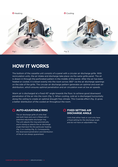

# **HOW IT WORKS**

The bottom of the cassette unit consists of a panel with a circular air discharge grille. With recirculation units, the air intake and discharge take place via the same grille panel. The air is drawn in through the perforated pattern in the middle of the panel. After the air has been heated or cooled, it is blown evenly into the room across 360° via the air discharge openings on the side of the grille. The circular air discharge pattern generates an optimal and even air distribution, which ensures optimal penetration and air circulation even at low air speeds.

Warm air is discharged at a fixed 45° angle towards the floor, to achieve good downward penetration of the air into the room (fig. 1). When cooling, cold air is discharged horizontally along the ceiling to create an optimal draught free climate. This Coanda effect (fig. 2) gives a better distribution of the cooled air throughout the room.

# **C** AUTO-ADJUSTABLE RING

The air discharge grille of units that can both heat and cool is fitted with a patented adjustable discharge ring. The unit adjusts the ring automatically and in doing so selects the air discharge angle that best fits the particular heating (fig. 1) or cooling (fig. 2). Consequently, the downward penetration and distribution of the air are always guaranteed.

# **C** FIXED SETTING AIR **DISCHARGE ANGLE**

Units that either heat or cool only have a fixed setting for the discharge angle and do not have an adjustable ring.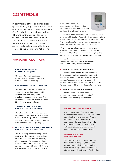# **CONTROLS**

In commercial offices and retail areas quick and easy adjustment of the climate is essential for users. Therefore, Biddle's Comfort Circle comes with up to four different control options for a userfriendly solution for every situation. The client can set the desired room temperature via the control panel, quickly and easily bringing the indoor climate to the most comfortable level.

### **FOUR CONTROL OPTIONS:**

#### **1. BASIC UNIT WITHOUT CONTROLLER (B0)**

 The cassette unit is equipped with a transformer and is wired by default at one fixed setting.

### **2. FAN SPEED CONTROLLER (T0)**

 The cassette unit is fitted with a fan speed controller that is compatible with external control systems, such as a building management system. The fan speed is then controlled externally (0-10 Volts or zero-voltage)

#### **3. THERMOSTATIC AIR-SIDE BIDDLE CONTROL (S0/S1)**

 This plug & play control regulates the fan speed (three speeds) to obtain the desired room temperature. The control can be delivered with a fixed (S0) or an auto-adjustable discharge angle (S1).

#### **4. MODULATING AIR AND WATER-SIDE BIDDLE CONTROL (M0/M1)**

 The most comprehensive plug & play control for the cassette unit regulates both the fan speed and the discharge air temperature, to achieve precisely the desired temperature. This control can be delivered with a fixed (M0) or an auto-adjustable discharge angle (M1).



Both Biddle controls (thermostatic and modulating) are controlled by a well-designed and user-friendly control panel.

The control panel has various soft-touch keys and a handy LCD display. The desired room temperature is easily set via the control panel, after which time the control maintains the climate at the correct level. The keys can be locked with a 'key lock'.

One control panel can be connected to and operate a maximum of ten units. The units are then linked together. The maximum length of the control cables in a control system is 100 metres.

The control panel has various menus for several settings, such as use, installation, service and setting the week timer.

### **Q** Automatic or manual operation

The control panel allows the user to choose between automatic or manual operation of the cassette unit. In the automatic mode, the correct fan speed is set on the basis of the temperature difference between the actual room temperature and the desired room temperature.

### **Q** Automatic on and off control

The control panel features a week timer for switching the unit on and off automatically, each day of the week.

#### **MAXIMUM CONVENIENCE**

If you choose one of the two integrated Biddle controls, the units will be delivered completely ready to use: plug & play. For connection to the mains, the units are equipped with a fixed cable and a moulded plug. The control panel, any extra units, inputs and outputs can be connected via the connector plate.

#### **PROJECT SPECIFIC MODIFICATIONS**

The Comfort Circle comes with three fixed tapping voltages (fans speeds) as factory default. By using a built-in transformer it is possible to adjust the standard speeds to the specific situation.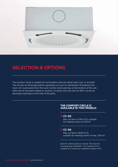

# **SELECTION & OPTIONS**

The Comfort Circle is suitable for recirculation and can either heat, cool, or do both. The circular air discharge pattern generates an even air distribution throughout the room. Air is extracted from the room via the small openings at the bottom of the unit. After the air has been heated or cooled, it is blown into the room at 360° via the air discharge openings on the side of the grille.

### **THE COMFORT CIRCLE IS AVAILABLE IN TWO MODELS:**

### **0 CC 60**

Max. air flow is 740  $m^3/h$ , suitable for heating rooms of 100 m2

### **0 CC 90**

Max. air flow is 1630 m $\frac{3}{h}$ , suitable for heating rooms of max. 200 m<sup>2</sup>

Specific criteria apply to cooling. This requires a cooling load calculation. The cassette unit is suitable for a maximum installation height of 4m.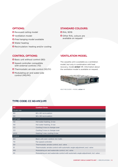### **OPTIONS:**

- **O** Recessed ceiling model
- **Q** Ventilation model
- **O** Free hanging model available
- **O** Water heating
- **O** Recirculation: heating and/or cooling

### **CONTROL OPTIONS:**

- **O** Basic unit without control (B0)
- **O** Speed controller compatible with external controls (T0)
- **O** Thermostatic air-side control (SO/S1)
- **O** Modulating air and water-side control (M0/M1)

### **STANDARD COLOURS:**

- **O** RAL 9016
- **O** Other RAL colours are available on request

# **VENTILATION MODEL**

The cassette unit is available as a ventilation model, but only in combination with heat recovery, model **air2air** HR. Information about the ventilation model is available on request.



HEAT RECOVERY • MODEL **air2air** HR

## **TYPE CODE: CC 60-H1C2-M1**

| cc             | <b>Comfort Circle</b>                                                             |
|----------------|-----------------------------------------------------------------------------------|
| Model size     |                                                                                   |
| 60             | 60 x 60 recirculation                                                             |
| 90             | 90 x 90 recirculation                                                             |
| Coil type      |                                                                                   |
| H <sub>2</sub> | Hot water heating, 2-row                                                          |
| H <sub>3</sub> | Hot water heating, 3-row                                                          |
| C <sub>2</sub> | Cooling 2-row or change-over                                                      |
| C <sub>3</sub> | Cooling 3-row or change-over                                                      |
| <b>H1C2</b>    | Heating 1-row, cooling 2-row                                                      |
| Control        |                                                                                   |
| <b>BO</b>      | Basic unit, excl. control, incl. trafo                                            |
| T <sub>O</sub> | Fan speed controller                                                              |
| S <sub>O</sub> | Thermostatic airside control, excl. valve                                         |
| S1             | Thermostatic airside control with automatic angle adjustment, excl. valve         |
| M <sub>O</sub> | Modulating air and waterside control, incl. valve                                 |
| M1             | Modulating air and waterside control with automatic angle adjustment, incl. valve |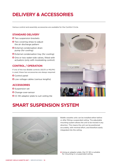# **DELIVERY & ACCESSORIES**

Various control and assembly accessories are available for the Comfort Circle.

## **STANDARD DELIVERY**

- **O** Two suspension brackets
- **O** Two covering strips to adjust the air discharge pattern
- **O** External condensation drain pump (for cooling)
- External condensation tray (for cooling)
- **O** One or two water-side valves, fitted with actuators (only with modulating control)

### **CONTROL / OPERATION**

If one of the two Biddle controls (S0/S1 or M0/M1) is used, these two accessories are always required:

- **Q** Control panel
- **Q** Low voltage cables (various lengths)

### **ACCESSORIES**

- **O** Suspension set
- **O** Change-over-sensor
- **O** CC 90 adaptor plate to suit ceiling tile



# **SMART SUSPENSION SYSTEM**



Biddle cassette units can be installed either before or after fitting a suspended ceiling. The adjustable mounting system allows the unit to be moved in any direction. This means the unit can be positioned accurately, with minimal effort, and therefore easily integrated into the ceiling.

Using an adaptor plate, the CC 90 is suitable for mounting in a suspended ceiling.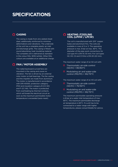# **SPECIFICATIONS**

# **CASING**

 The casing is made from zinc-plated sheet steel, additionally reinforced to minimise deformations and vibrations. The underside of the unit has a rotatable plastic air inlet and discharge grille. The casing is fitted with sound absorbing, heat insulating material. The complete unit is delivered as standard in the colour RAL 9016 (white). Other RAL colours are available at an additional charge.

# **FAN / MOTOR ASSEMBLY**

 The radial backward curved fans are mounted in the casing and cause no vibration. The fan is driven by an external rotor motor on ball bearings. The fan casing and the impeller are made from aluminium. The motor is manufactured in accordance with DIN 40050, protection category IP44 and insulation category B (CC 60) and F (CC 90). The motor is protected from overheating by thermal contacts, which will break the electrical circuit as soon as the maximum permissible motor temperature is exceeded (auto-reset).

### **C** HEATING / COOLING **COIL (LPHW / LPCW)**

 The coil is manufactured with 3/8" copper tubes and aluminium fins. The coils are available in rows of 2 or 3. The operating pressure is max. 8 bar at max. 90°C. The diameter of the pipe work connections for coil type H1 is DN 15 (15 mm). For coil types H2, H3, C2 and C3 this is DN 20 (22 mm).

The maximum water range of an H2 coil with:

- **O** Thermostatic air-side control  $(SO/S1) = 80/60°C$
- **O** Modulating air and water-side control (M0/M1) = 90/70°C

The maximum water range of an H3 coil with:

- **O** Thermostatic air-side control  $(SO/S1) = 7O/5O^{\circ}C$
- **O** Modulating air and water-side control (M0/M1) = 90/70°C

The maximum permissible operating pressure is 8 bar at a water inlet temperature of max. 90°C. The maximum permissible discharge air temperature is 65°C. If a unit has to be connected to a water range with higher temperatures, please consult Biddle for advice.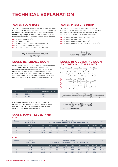# **TECHNICAL EXPLANATION**

### **WATER FLOW RATE**

When water and room temperatures other than the values represented in the tables are used, the water flow rate can be roughly calculated using the formula below. Before doing so, the heating or total cooling capacity must be recalculated based on the tables with correction factors.

$$
m_w
$$
 = water flow rate [I/h]

- **Q** = capacity [kW]
- $C_{\text{pw}}$  = specific heat of water (=4.18) [kJ/kg<sup>o</sup>C]
- $\Delta T_w$  = temperature difference water  $[^{\circ}C]$
- $P_w$  = density of water at 90°C (=0.984) [kg/l]

$$
m_W = \frac{Q}{C_{DW} \Delta T_W \rho_W} 3600 [1/h]
$$

### **SOUND REFERENCE ROOM**

In the tables, a sound pressure level in the reverberation sound field is given for all speeds. These sound pressure level values are based on the use of one unit in a reference room. The sound pressure in the room is determined dependent on the installation and the speed of the fan. The sound data are applicable to each unit and measured at a distance of 5 m from the unit.

|                  | reference room    |                    |  |  |  |  |  |  |  |
|------------------|-------------------|--------------------|--|--|--|--|--|--|--|
| Unit             | Volume room       | Reverberation time |  |  |  |  |  |  |  |
| CC <sub>60</sub> | $300 \text{ m}^3$ | 0.5s               |  |  |  |  |  |  |  |
| CC 90            | $600 \text{ m}^3$ | 0.6s               |  |  |  |  |  |  |  |

Example calculation: What is the sound pressure level in the reverberation field when two CC 60 units at speed 2 are used in a room with a reverberation time of 0.7 sec and a volume of 600  $m<sup>3</sup>$ 

# **SOUND POWER LEVEL IN dB**

### **CC60**

## **WATER PRESSURE DROP**

When water temperatures other than the values represented in the tables are used, the water pressure drop can be calculated using this formula. To do so, the water flow rate must first be calculated.

- $\Delta P_{w1}$  = water pressure loss, table values [kPa]
- $\Delta P_{w2}$  = water pressure loss [kPa]
- $m_{w1}$  = water flow rate, table values  $[1/h]$
- $m_{w2}$  = water flow rate calculated using formula  $[I/h]$

$$
\Delta p_{W_z} = \Delta p_{W_z} \left( \frac{m_{W_z}}{m_{W_z}} \right)^z [kPa]
$$

### **SOUND IN A DEVIATING ROOM AND WITH MULTIPLE UNITS**

If a unit is used in a deviating room, or if multiple devices are used in a single room, the sound pressure level must be recalculated. This can be done using the formula below. The relevant table value can be found in the tables (general data).

- $L_p$  = sound pressure  $[dB(A)]$ <br> **T** = reverberation time in de
- **F** reverberation time in deviating room [s]
- **T<sub>o</sub>** = reverberation time [s] (see table)
- $V =$  volume deviating room  $[m^3]$
- $V_a$  = volume reference room  $\lceil m^3 \rceil$  (see table)
- **n** = number of units

$$
L_{\rm p} = \text{table value} + \left(10 \text{ log} \left( \frac{T}{T_{\rm e}} \right) - 10 \text{ log} \left( \frac{V}{V_{\rm e}} \right) + 10 \text{ log} \left( \frac{d_{\rm e}^2}{d^2} \right) + 10 \text{ log} \text{ (n)} \right) \text{[dB(A)]}
$$

$$
47 + \left(10 \cdot \log\left(\frac{0.7}{0.5}\right) - 10 \cdot \log\left(\frac{600}{300}\right) + 10 \cdot \log(2)\right)
$$
  
47 + 1.5 - 3 + 3 = 48.5 dB(A)

| Speed          | Sound<br>pressure level | Sound power level<br>Per octave band in the medium frequency, in dB (Hz) |      |      |      |      |      |      |      | Lw    |
|----------------|-------------------------|--------------------------------------------------------------------------|------|------|------|------|------|------|------|-------|
|                | dB(A)                   | 63                                                                       | 125  | 250  | 500  | 1000 | 2000 | 4000 | 8000 | dB(A) |
|                | 37.6                    | 44.6                                                                     | 54.4 | 50.5 | 45.7 | 44.8 | 44.5 | 29.2 | 16.3 | 50.5  |
| $\overline{2}$ | 47.1                    | 47.6                                                                     | 62.1 | 59.4 | 55.3 | 55   | 53.7 | 46.8 | 34   | 60    |
|                | 52.1                    | 50.9                                                                     | 65.7 | 64.2 | 60   | 60.3 | 57.4 | 53.4 | 41.3 | 65    |

#### **CC90**

| Speed | Sound<br>pressure level |      | Sound power level<br>Per octave band in the medium frequency, in dB (Hz) |      |      |      |      |      |      |       |
|-------|-------------------------|------|--------------------------------------------------------------------------|------|------|------|------|------|------|-------|
|       | dB(A)                   | 63   | 125                                                                      | 250  | 500  | 1000 | 2000 | 4000 | 8000 | dB(A) |
|       | 37.9                    | 62.5 | 58.6                                                                     | 55.1 | 50.6 | 46.9 | 39.6 | 29.8 | 17.1 | 52.5  |
|       | 49.9                    | 56.5 | 68                                                                       | 65.3 | 61.1 | 60.5 | 55.7 | 48.5 | 38.3 | 64.5  |
|       | 56.9                    | 60.8 | 72                                                                       | 71.1 | 67.8 | 67.1 | 64.3 | 57.1 | 48.5 | 71.5  |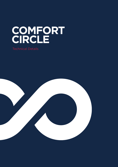# **COMFORT CIRCLE**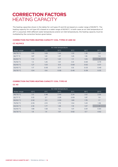# **CORRECTION FACTORS**  HEATING CAPACITY

The heating capacities shown in the tables for coil types H1 and H2 are based on a water range of 80/60°C. The heating capacity for coil type H3 is based on a water range of 60/40°C. In both cases an air inlet temperature of 20°C is assumed. With different water temperatures and/or air inlet temperatures, the heating capacity must be multiplied by the correction factors given below.

### **CORRECTION FACTORS HEATING CAPACITY COIL TYPES H1 AND H2**

#### **CC H2/H1C2**

| Air inlet temperature |                 |              |                |                |                |                |  |  |  |  |  |
|-----------------------|-----------------|--------------|----------------|----------------|----------------|----------------|--|--|--|--|--|
| Water range           | $-10^{\circ}$ C | $O^{\circ}C$ | $10^{\circ}$ C | $15^{\circ}$ C | $18^{\circ}$ C | $20^{\circ}$ C |  |  |  |  |  |
| 90/70 °C              | 1.95            | 1.69         | 1.44           | 1.33           | 1.26           | 1.21           |  |  |  |  |  |
| 82/71 °C              | 1.87            | 1.61         | 1.37           | 1.25           | 1.18           | 1.14           |  |  |  |  |  |
| 80/60 °C              | 1.72            | 1.47         | 1.23           | 1.11           | 1.05           |                |  |  |  |  |  |
| 70/50 °C              | 1.5             | 1.25         | 1.01           | O.9            | 0.83           | 0.79           |  |  |  |  |  |
| 60/40 °C              | 1.27            | 1.03         | O.8            | 0.68           | 0.62           | 0.57           |  |  |  |  |  |
| 50/40 °C              | 1.17            | 0.93         | 0.71           | O.6            | 0.53           | 0.49           |  |  |  |  |  |
| 50/30 °C              | 1.04            | O.8          | 0.58           | 0.46           | 0.39           | 0.35           |  |  |  |  |  |

### **CORRECTION FACTORS HEATING CAPACITY COIL TYPE H3**

#### **CC H3**

| Air inlet temperature |                 |              |                |                |                |                |  |  |  |  |  |
|-----------------------|-----------------|--------------|----------------|----------------|----------------|----------------|--|--|--|--|--|
| Water range           | $-10^{\circ}$ C | $O^{\circ}C$ | $10^{\circ}$ C | $15^{\circ}$ C | $18^{\circ}$ C | $20^{\circ}$ C |  |  |  |  |  |
| 90/70 °C              | 3.3             | 2.86         | 2.44           | 2.24           | 2.12           | 2.05           |  |  |  |  |  |
| 82/71 °C              | 3.13            | 2.7          | 2.29           | 2.09           | 1.97           | 1.9            |  |  |  |  |  |
| 80/60 °C              | 2.92            | 2.5          | 2.09           | 1.89           | 1.78           | 1.7            |  |  |  |  |  |
| 70/50 °C              | 2.55            | 2.13         | 1.73           | 1.54           | 1.43           | 1.36           |  |  |  |  |  |
| 60/40 °C              | 2.18            | 1.77         | 1.38           | 1.19           | 1.07           |                |  |  |  |  |  |
| 50/40 °C              | 1.98            | 1.58         | 1.2            | 1.01           | 0.91           | 0.84           |  |  |  |  |  |
| 50/30 °C              | 1.8             | 1.4          | 1.01           | 0.82           | 0.7            | 0.62           |  |  |  |  |  |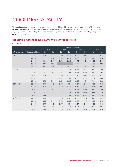# COOLING CAPACITY

The cooling capacities shown in the tables for coil types C2 and C3 are based on a water range of 6/12°C and air inlet conditions of 27°C / 48% R.H. With different water temperatures and/or air inlet conditions, the cooling capacity must be multiplied by the correction factors given below. Data relating to other deviating refrigerants are available on request.

#### **CORRECTION FACTORS COOLING CAPACITY COIL TYPES C2 AND C3**

### **CC C2/C3**

|             |                  | Relative humidity |                |                |                |      |                |      |                |  |
|-------------|------------------|-------------------|----------------|----------------|----------------|------|----------------|------|----------------|--|
|             |                  |                   | 40%            |                | 48%            |      | 50%            |      | 60%            |  |
| Water range | Inlet conditions | Qt                | Q <sub>S</sub> | Qt             | Q <sub>S</sub> | Qt   | Q <sub>S</sub> | Qt   | Q <sub>S</sub> |  |
| 6/12 °C     | 22 °C            | 0.56              | 0.75           | 0.58           | 0.74           | 0.59 | 0.73           | 0.7  | 0.7            |  |
|             | 23 °C            | 0.61              | 0.81           | 0.65           | 0.79           | 0.67 | 0.78           | 0.81 | 0.75           |  |
|             | 24 °C            | 0.66              | 0.87           | 0.72           | 0.84           | 0.75 | 0.84           | 0.93 | 0.81           |  |
|             | $27^{\circ}$ C   | 0.86              | 1.03           | $\overline{1}$ | $\mathbf{1}$   | 1.05 | $\mathbf{1}$   | 1.29 | 0.98           |  |
|             | 28 °C            | 0.94              | 1.08           | 1.11           | 1.06           | 1.16 | 1.05           | 1.42 | 1.03           |  |
| 8/14 °C     | 22 °C            | 0.47              | 0.62           | 0.47           | 0.62           | 0.47 | 0.62           | 0.53 | 0.59           |  |
|             | 23 °C            | 0.52              | 0.69           | 0.52           | 0.68           | 0.53 | 0.68           | 0.62 | 0.65           |  |
|             | 24 °C            | 0.56              | 0.75           | 0.58           | 0.74           | 0.6  | 0.73           | 0.72 | 0.7            |  |
|             | $27^{\circ}$ C   | 0.72              | 0.93           | 0.81           | 0.89           | 0.85 | 0.89           | 1.07 | 0.86           |  |
|             | 28 °C            | 0.79              | 0.98           | 0.91           | 0.95           | 0.96 | 0.94           | 1.2  | 0.92           |  |
| 10/16 °C    | 22 °C            | 0.37              | 0.5            | 0.37           | 0.5            | 0.37 | 0.5            | 0.38 | 0.49           |  |
|             | 23 °C            | 0.42              | 0.56           | 0.42           | 0.56           | 0.42 | 0.56           | 0.45 | 0.54           |  |
|             | 24 °C            | 0.47              | 0.63           | 0.47           | 0.63           | 0.47 | 0.63           | 0.53 | 0.59           |  |
|             | 27 °C            | 0.61              | 0.81           | 0.65           | 0.79           | 0.67 | 0.78           | 0.84 | 0.75           |  |
|             | 28 °C            | 0.66              | 0.87           | 0.73           | 0.84           | 0.76 | 0.84           | 0.97 | 0.8            |  |
| 12/18 °C    | 22 °C            | 0.28              | 0.37           | 0.28           | 0.37           | 0.28 | 0.37           | 0.28 | 0.37           |  |
|             | 23 °C            | 0.33              | 0.43           | 0.33           | 0.43           | 0.33 | 0.43           | 0.33 | 0.43           |  |
|             | 24 °C            | 0.37              | 0.5            | 0.37           | 0.5            | 0.37 | 0.5            | 0.38 | 0.49           |  |
|             | 27 °C            | 0.52              | 0.69           | 0.52           | 0.69           | 0.53 | 0.68           | 0.63 | 0.64           |  |
|             | 28 °C            | 0.56              | 0.75           | 0.58           | 0.74           | 0.6  | 0.73           | 0.74 | 0.7            |  |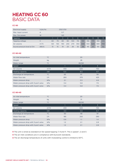# **HEATING CC 60** BASIC DATA

### **CC 60**

| <b>Electrical supply</b>   | $V$ /ph/Hz |     |     | 230/1/50       |                |     |     |     |     |     |     |     |
|----------------------------|------------|-----|-----|----------------|----------------|-----|-----|-----|-----|-----|-----|-----|
| Max. Input current         | А          |     |     | O.7            |                |     |     |     |     |     |     |     |
| Max. Fan power             | W          |     |     | 143            |                |     |     |     |     |     |     |     |
| Tapping                    |            |     | 2   | $\overline{3}$ | $\overline{4}$ | .5  | 6   | . 7 | 8   | 9   | 10  | 11  |
| Tapping voltage            | V          | 60  | 70  | 80             | 90             | 100 | 115 | 130 | 155 | 170 | 190 | 230 |
| Air volume                 | $m^3/h$    | 120 | 150 | 190            | 230            | 270 | 350 | 430 | 550 | 620 | 680 | 740 |
| Sound pressure level at 5m | dB(A)      | 13  | 15  | 19             | 23             | 26  | 32  | 38  | 45  | 47  | 50  | 52  |

### **CC 60-H2**

| Air inlet temperature                 | $^{\circ}$ C |     | 20    |     |  |  |  |  |
|---------------------------------------|--------------|-----|-------|-----|--|--|--|--|
| Weight                                | kg           | 28  |       |     |  |  |  |  |
| Water range                           | $^{\circ}$ C |     | 80/60 |     |  |  |  |  |
| Speed                                 |              |     | 2     | 3   |  |  |  |  |
| Air volume                            | $m^3/h$      | 430 | 620   | 740 |  |  |  |  |
| Heating capacity                      | kW           | 6.4 | 8.5   | 9.7 |  |  |  |  |
| Discharge air temperature             | $^{\circ}$ C | 65  | 61    | 59  |  |  |  |  |
| Water flow rate                       | 1/h          | 280 | 370   | 425 |  |  |  |  |
| Water pressure drop                   | kPa          | 2.1 | 3.5   | 4.6 |  |  |  |  |
| Water pressure drop with 3-port valve | kPa          | 3.4 | 5.8   | 7.5 |  |  |  |  |
| Water pressure drop with 2-port valve | kPa          | 3.4 | 5.8   | 7.5 |  |  |  |  |

### **CC 60-H3**

| Air inlet temperature                 | $^{\circ}$ C |     | 20    |     |  |  |  |  |
|---------------------------------------|--------------|-----|-------|-----|--|--|--|--|
| Weight                                | kg           |     | 31    |     |  |  |  |  |
| Water range                           | $^{\circ}$ C |     | 60/40 |     |  |  |  |  |
| Speed                                 |              |     | 2     | 3   |  |  |  |  |
| Air volume                            | $m^3/h$      | 430 | 620   | 740 |  |  |  |  |
| Heating capacity                      | <b>kW</b>    | 4.3 | 5.8   | 6.7 |  |  |  |  |
| Discharge air temperature             | $^{\circ}$ C | 50  | 48    | 47  |  |  |  |  |
| Water flow rate                       | 1/h          | 185 | 250   | 290 |  |  |  |  |
| Water pressure drop                   | kPa          | 0.6 | 1.1   | 1.4 |  |  |  |  |
| Water pressure drop with 3-port valve | kPa          | 1.2 | 2.1   | 2.8 |  |  |  |  |
| Water pressure drop with 2-port valve | kPa          | 1.2 | 2.1   | 2.8 |  |  |  |  |

The unit is wired as standard on fan speed tapping 7, 9 and 11. This is speed 1, 2 and 3.

O The air inlet conditions are in compliance with Eurovent standards.

O The air discharge temperature of units with modulating control is limited to 50°C.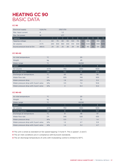# **HEATING CC 90** BASIC DATA

### **CC 90**

| Electrical supply          | V/ph/Hz |     |     | 230/1/50       |                |     |     |     |      |      |      |      |
|----------------------------|---------|-----|-----|----------------|----------------|-----|-----|-----|------|------|------|------|
| Max. Input current         | А       |     |     | 1.2            |                |     |     |     |      |      |      |      |
| Max. fan power             | W       |     |     | 277            |                |     |     |     |      |      |      |      |
| Tapping                    |         |     | 2   | $\overline{3}$ | $\overline{4}$ | .5  | 6   | 7   | 8    | 9    | 10   | 11   |
| Tapping voltage            | V       | 60  | 70  | 80             | 90             | 100 | 115 | 130 | 155  | 170  | 190  | 230  |
| Air volume                 | $m^3/h$ | 240 | 300 | 360            | 430            | 510 | 630 | 750 | 1040 | 1260 | 1490 | 1630 |
| Sound pressure level at 5m | dB(A)   | 24  | 23  | 25             | 28             | 29  | 34  | 38  | 45   | 50   | 54   | 57   |

### **CC 90-H2**

| Air inlet temperature                 | $^{\circ}$ C |                | 20    |      |  |  |  |  |
|---------------------------------------|--------------|----------------|-------|------|--|--|--|--|
| Weight                                | kg           | 49             |       |      |  |  |  |  |
| Water range                           | $^{\circ}$ C |                | 80/60 |      |  |  |  |  |
| Speed                                 |              |                | 2     | 3    |  |  |  |  |
| Air volume                            | $m^3/h$      | 750            | 1260  | 1630 |  |  |  |  |
| Heating capacity                      | kW           | 11.5           | 17    | 20.6 |  |  |  |  |
| Discharge air temperature             | $^{\circ}$ C | 65             | 60    | 58   |  |  |  |  |
| Water flow rate                       | 1/h          | 505            | 745   | 905  |  |  |  |  |
| Water pressure drop                   | kPa          | 1.9            | 3.9   | 5.5  |  |  |  |  |
| Water pressure drop with 3-port valve | kPa          | 3.5            | 7.4   | 10.6 |  |  |  |  |
| Water pressure drop with 2-port valve | kPa          | $\overline{4}$ | 8.4   | 12.2 |  |  |  |  |

#### **CC 90-H3**

| $^{\circ}$ C |     | 20             |      |
|--------------|-----|----------------|------|
| kg           |     | 52             |      |
| $^{\circ}$ C |     | 60/40          |      |
|              | 1   | $\overline{2}$ | 3    |
| $m^3/h$      | 750 | 1260           | 1630 |
| <b>kW</b>    | 8   | 12             | 14,7 |
| $^{\circ}$ C | 51  | 48             | 47   |
| 1/h          | 345 | 520            | 635  |
| kPa          | 0.5 |                | 1.4  |
| kPa          | 1.2 | 2.7            | 3.9  |
| kPa          | 1.4 | 3.2            | 4.7  |
|              |     |                |      |

The unit is wired as standard on fan speed tapping 7, 9 and 11. This is speed 1, 2 and 3.

O The air inlet conditions are in compliance with Eurovent standards.

O The air discharge temperature of units with modulating control is limited to 50°C.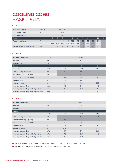# **COOLING CC 60** BASIC DATA

### **CC 60**

| Electrical supply          | V/ph/Hz |     |     | 230/1/50 |                |     |     |     |     |     |     |     |
|----------------------------|---------|-----|-----|----------|----------------|-----|-----|-----|-----|-----|-----|-----|
| Max. input current         | А       |     |     | O.7      |                |     |     |     |     |     |     |     |
| Max. fan power             | W       |     |     | 143      |                |     |     |     |     |     |     |     |
| Tapping                    |         |     | 2   | 3        | $\overline{4}$ | 5   | -6  |     | 8   | 9   | 10  | 11  |
| Tapping voltage            | V       | 60  | 70  | 80       | 90             | 100 | 115 | 130 | 155 | 170 | 190 | 230 |
| Air volume                 | $m^3/h$ | 120 | 150 | 190      | 230            | 270 | 350 | 430 | 550 | 620 | 680 | 740 |
| Sound pressure level at 5m | dB(A)   | 13  | 15  | 19       | 23             | 26  | 32  | 38  | 45  | 47  | 50  | 52  |

### **CC 60-C2**

| Air inlet conditions                  | $\degree$ C/% | 27/48          |      |                |  |  |
|---------------------------------------|---------------|----------------|------|----------------|--|--|
| Weight                                | kg            |                | 29   |                |  |  |
| Water range                           | $^{\circ}$ C  |                | 6/12 |                |  |  |
| Speed                                 |               | $\mathbf{1}$   | 2    | $\overline{3}$ |  |  |
| Air volume                            | $m^3/h$       | 430            | 620  | 740            |  |  |
| Total cooling capacity                | <b>kw</b>     | 2.8            | 3.6  | 4.1            |  |  |
| Sensible cooling capacity             | kw            | $\overline{2}$ | 2.7  | 3.1            |  |  |
| Discharge air temperature             | $^{\circ}$ C  | 13             | 14   | 14             |  |  |
| Condensate                            | 1/h           | 1.2            | 1.4  | 1.5            |  |  |
| Water flow rate                       | 1/h           | 405            | 520  | 590            |  |  |
| Water pressure drop                   | kpa           | 5.3            | 8.4  | 10.5           |  |  |
| Water pressure drop with 3-port valve | kpa           | 7.9            | 12.7 | 16             |  |  |
| Water pressure drop with 2-port valve | kpa           | 7.9            | 12.7 | 16             |  |  |

### **CC 60-C3**

| Air inlet conditions                  | $\degree$ C/% |              | 27/48 |                |
|---------------------------------------|---------------|--------------|-------|----------------|
| Weight                                | kg            |              | 32    |                |
| Water range                           | $^{\circ}$ C  |              | 6/12  |                |
| Speed                                 |               | $\mathbf{1}$ | 2     | $\overline{3}$ |
| Air volume                            | $m^3/h$       | 430          | 620   | 740            |
| Total cooling capacity                | <b>kW</b>     | 3.3          | 4.3   | 4.9            |
| Sensible cooling capacity             | <b>kW</b>     | 2.3          | 3.1   | 3.6            |
| Discharge air temperature             | $^{\circ}$ C  | 11           | 12    | 12             |
| Condensate                            | 1/h           | 1.4          | 1.8   | $\overline{2}$ |
| Water flow rate                       | 1/h           | 470          | 615   | 705            |
| Water pressure drop                   | kPa           | 4.1          | 6.7   | 8.6            |
| Water pressure drop with 3-port valve | kPa           | 7.6          | 12.8  | 16.6           |
| Water pressure drop with 2-port valve | kPa           | 7.6          | 12.8  | 16.6           |

O The unit is wired as standard on fan speed tapping 7, 9 and 11. This is speed 1, 2 and 3.

O The air inlet conditions are in compliance with Eurovent standards.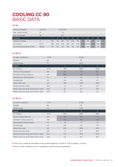# **COOLING CC 90** BASIC DATA

### **CC 90**

| <b>Electrical supply</b>   | V/ph/Hz |     |     | 230/1/50       |                |     |     |     |      |      |      |      |
|----------------------------|---------|-----|-----|----------------|----------------|-----|-----|-----|------|------|------|------|
| Max. input current         | А       |     |     | 1.2            |                |     |     |     |      |      |      |      |
| Max. fan power             | W       |     |     | 277            |                |     |     |     |      |      |      |      |
| Tapping                    |         |     | 2   | $\overline{5}$ | $\overline{4}$ | .5  | 6   | 7   | 8    | 9    | 10   | 11   |
| Tapping voltage            | V       | 60  | 70  | 80             | 90             | 100 | 115 | 130 | 155  | 170  | 190  | 230  |
| Air volume                 | $m^3/h$ | 240 | 300 | 360            | 430            | 510 | 630 | 750 | 1040 | 1260 | 1490 | 1630 |
| Sound pressure level at 5m | dB(A)   | 24  | 23  | 25             | 28             | 29  | 34  | 38  | 45   | 50   | 54   | 57   |

### **CC 90-C2**

| Air inlet conditions                  | $\degree$ C/% | 27/48        |      |                |  |  |
|---------------------------------------|---------------|--------------|------|----------------|--|--|
| Weight                                | kg            |              | 50   |                |  |  |
| Water range                           | $^{\circ}$ C  |              | 6/12 |                |  |  |
| Speed                                 |               | $\mathbf{1}$ | 2    | $\overline{3}$ |  |  |
| Air volume                            | $m^3/h$       | 750          | 1260 | 1630           |  |  |
| Total cooling capacity                | <b>kW</b>     | 5.1          | 7.3  | 8.7            |  |  |
| Sensible cooling capacity             | <b>kW</b>     | 3.6          | 5.4  | 6.5            |  |  |
| Discharge air temperature             | $^{\circ}$ C  | 12           | 14   | 15             |  |  |
| Condensate                            | 1/h           | 2.2          | 2.8  | 3.1            |  |  |
| Water flow rate                       | 1/h           | 735          | 1055 | 1245           |  |  |
| Water pressure drop                   | kPa           | 4.7          | 9.1  | 12.4           |  |  |
| Water pressure drop with 3-port valve | kPa           | 8.1          | 16   | 22.1           |  |  |
| Water pressure drop with 2-port valve | kPa           | 9.1          | 18.1 | 25             |  |  |

#### **CC 90-C3**

| Air inlet conditions                  | $\degree$ C/% |              |      |                |
|---------------------------------------|---------------|--------------|------|----------------|
| Weight                                | kg            |              | 53   |                |
| Water range                           | $^{\circ}$ C  |              | 6/12 |                |
| Speed                                 |               | $\mathbf{1}$ | 2    | $\overline{3}$ |
| Air volume                            | $m^3/h$       | 750          | 1260 | 1630           |
| Total cooling capacity                | <b>kW</b>     | 6.1          | 9.1  | 11             |
| Sensible cooling capacity             | <b>kW</b>     | 4.2          | 6.4  | 7.9            |
| Discharge air temperature             | $^{\circ}$ C  | 10           | 11   | 12             |
| Condensate                            | 1/h           | 2.8          | 3.9  | 4.5            |
| Water flow rate                       | 1/h           | 875          | 1305 | 1575           |
| Water pressure drop                   | kPa           | 3            | 6.2  | 8.8            |
| Water pressure drop with 3-port valve | kPa           | 7.8          | 16.9 | 24.3           |
| Water pressure drop with 2-port valve | kPa           | 9.3          | 20.1 | 29.1           |

O The unit is wired as standard on fan speed tapping 7, 9 and 11. This is speed 1, 2 and 3.

O The air inlet conditions are in compliance with Eurovent standards.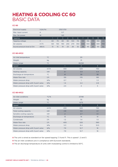# **HEATING & COOLING CC 60** BASIC DATA

### **CC 60**

| Electrical supply          | $V$ /ph/Hz |     |               | 230/1/50 |                |     |     |     |     |     |     |     |
|----------------------------|------------|-----|---------------|----------|----------------|-----|-----|-----|-----|-----|-----|-----|
| Max. input current         | А          |     |               | 0.7      |                |     |     |     |     |     |     |     |
| Max. fan power             | W          |     |               | 143      |                |     |     |     |     |     |     |     |
| Tapping                    |            |     | $\mathcal{P}$ | 3        | $\overline{4}$ | -5  | 6   |     | 8   | 9   | 10  | 11  |
| Tapping voltage            | V          | 60  | 70            | 80       | 90             | 100 | 115 | 130 | 155 | 170 | 190 | 230 |
| Air volume                 | $m^3/h$    | 120 | 150           | 190      | 230            | 270 | 350 | 430 | 550 | 620 | 680 | 740 |
| Sound pressure level at 5m | dB(A)      | 13  | 15            | 19       | 23             | 26  | 32  | 38  | 45  | 47  | 50  | 52  |

### **CC 60-H1C2**

| Air inlet temperature                 | $^{\circ}$ C |       | 20             |     |  |  |  |  |
|---------------------------------------|--------------|-------|----------------|-----|--|--|--|--|
| Weight                                | kg           | 31    |                |     |  |  |  |  |
| Water range                           | $^{\circ}$ C | 80/60 |                |     |  |  |  |  |
| Speed                                 |              |       | $\overline{2}$ | 3   |  |  |  |  |
| Air volume                            | $m^3/h$      | 430   | 620            | 740 |  |  |  |  |
| Heating capacity                      | <b>kW</b>    | 3.1   | 3.9            | 4.4 |  |  |  |  |
| Discharge air temperature             | $^{\circ}$ C | 41    | 39             | 38  |  |  |  |  |
| Water flow rate                       | 1/h          | 135   | 170            | 195 |  |  |  |  |
| Water pressure drop                   | kPa          | O.7   |                | 1.3 |  |  |  |  |
| Water pressure drop with 3-port valve | kPa          | 1.4   | 2.2            | 2.8 |  |  |  |  |
| Water pressure drop with 2-port valve | kPa          | 2.5   | 4              | 5   |  |  |  |  |

### **CC 60-H1C2**

| Air inlet conditions                  | $\degree$ C/% |                | 27/48          |      |
|---------------------------------------|---------------|----------------|----------------|------|
| Weight                                | kg            |                |                |      |
| Water range                           | $^{\circ}$ C  |                | 6/12           |      |
| Speed                                 |               | 1              | $\overline{2}$ | 3    |
| Air volume                            | $m^3/h$       | 430            | 620            | 740  |
| Total cooling capacity                | <b>kW</b>     | 2.8            | 3.6            | 4.1  |
| Sensible cooling capacity             | kW            | $\overline{2}$ | 2.7            | 3.1  |
| Discharge air temperature             | $^{\circ}$ C  | 13             | 14             | 14   |
| Condensate                            | 1/h           | 1.2            | 1.4            | 1.5  |
| Water flow rate                       | 1/h           | 405            | 520            | 590  |
| Water pressure drop                   | kPa           | 5.3            | 8.4            | 10.5 |
| Water pressure drop with 3-port valve | kPa           | 7.9            | 12.7           | 16   |
| Water pressure drop with 2-port valve | kPa           | 7.9            | 12.7           | 16   |

O The unit is wired as standard on fan speed tapping 7, 9 and 11. This is speed 1, 2 and 3.

O The air inlet conditions are in compliance with Eurovent standards.

O The air discharge temperature of units with modulating control is limited to 50°C.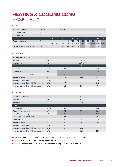# **HEATING & COOLING CC 90** BASIC DATA

### **CC 90**

| Electrical supply          | V/ph/Hz |     |               | 230/1/50 |                |     |     |     |           |     |      |      |
|----------------------------|---------|-----|---------------|----------|----------------|-----|-----|-----|-----------|-----|------|------|
| Max. input current         | А       |     |               | 1.2      |                |     |     |     |           |     |      |      |
| Max. fan power             | W       |     |               | 277      |                |     |     |     |           |     |      |      |
| Tapping                    |         |     | $\mathcal{P}$ | 3        | $\overline{4}$ | 5   | 6   |     | 8         | 9   | 10   | 11   |
| Tapping voltage            | V       | 60  | 70            | 80       | 90             | 100 | 115 | 130 | 155       | 170 | 190  | 230  |
| Air volume                 | $m^3/h$ | 240 | 300           | 360      | 430            | 510 | 630 | 750 | 1040 1260 |     | 1490 | 1630 |
| Sound pressure level at 5m | dB(A)   | 24  | 23            | 25       | 28             | 29  | 34  | 38  | 45        | 50  | 54   | 57   |

### **CC 90-H1C2**

| Air inlet temperature                 | $^{\circ}$ C |       | 20   |                |  |  |  |  |
|---------------------------------------|--------------|-------|------|----------------|--|--|--|--|
| Weight                                | kg           | 54    |      |                |  |  |  |  |
| Water range                           | $^{\circ}$ C | 80/60 |      |                |  |  |  |  |
| Speed                                 |              |       | 2    | $\overline{3}$ |  |  |  |  |
| Air volume                            | $m^3/h$      | 750   | 1260 | 1630           |  |  |  |  |
| Heating capacity                      | <b>kW</b>    | 6.2   | 8.7  | 10.4           |  |  |  |  |
| Discharge air temperature             | $^{\circ}$ C | 44    | 41   | 39             |  |  |  |  |
| Water flow rate                       | 1/h          | 270   | 385  | 455            |  |  |  |  |
| Water pressure drop                   | kPa          | 2     | 3.9  | 5.3            |  |  |  |  |
| Water pressure drop with 3-port valve | kPa          | 2.5   | 4.8  | 6.6            |  |  |  |  |
| Water pressure drop with 2-port valve | kPa          | 2.6   | 5.1  | 7              |  |  |  |  |

### **CC 90-H1C2**

| Air inlet conditions                  | $\degree$ C/% |             | 27/48          |      |
|---------------------------------------|---------------|-------------|----------------|------|
| Weight                                | kg            |             | 53             |      |
| Water range                           | $^{\circ}$ C  |             | 6/12           |      |
| Speed                                 |               | $\mathbf 1$ | $\overline{2}$ | 3    |
| Air volume                            | $m^3/h$       | 750         | 1260           | 1630 |
| Total cooling capacity                | <b>kW</b>     | 5.2         | 7.5            | 8.8  |
| Sensible cooling capacity             | kW            | 3.7         | 5.5            | 6.6  |
| Discharge air temperature             | $^{\circ}$ C  | 12          | 14             | 15   |
| Condensate                            | 1/h           | 2.2         | 2.9            | 3.2  |
| Water flow rate                       | 1/h           | 745         | 1070           | 1265 |
| Water pressure drop                   | kPa           | 4.9         | 9.5            | 13   |
| Water pressure drop with 3-port valve | kPa           | 8.4         | 16.6           | 23   |
| Water pressure drop with 2-port valve | kPa           | 9.4         | 18.8           | 26.1 |

O The unit is wired as standard on fan speed tapping 7, 9 and 11. This is speed 1, 2 and 3.

**O** The air inlet conditions are in compliance with Eurovent standards.

O The air discharge temperature of units with modulating control is limited to 50°C.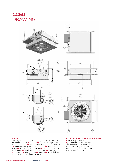# **CC60**  DRAWING





#### **INDEX**

The corresponding numbers in the dimensional sketches are explained here: **7**–Air vent. **14**–Condensate discharge (only for cooling). **15**–Condensation pump (only for cooling). **16**–Condensation tray (only for cooling). **20**–Connection plate. **23**–Cooling for 4-pipes H1C3. **24**–Cooling or heating for 2-pipes. **51**–Heating for 4-pipes H1C3. **58**–Locking. **64**–Return. **78**–Slotted holes. **81**–Supply. **88**–Threaded rods (M8) are not supplied as a standard.

#### **EXPLANATION DIMENSIONAL SKETCHES**

All dimensions in mm  $\Omega$  A = detail water connections The diameter of the pipework connections for coil type H1 is DN 15 (15 mm). For coil types H2, H3, C2 and C3 this is DN 20 (22 mm).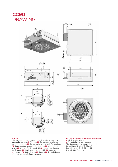# **CC90**  DRAWING



#### **INDEX**

The corresponding numbers in the dimensional sketches are explained here: **7**–Air vent. **14**–Condensate discharge (only for cooling). **15**–Condensation pump (only for cooling). **16**–Condensation tray (only for cooling). **20**–Connection plate. **23**–Cooling for 4-pipes H1C3. **24**–Cooling or heating for 2-pipes. **51**–Heating for 4-pipes H1C3. **58**–Locking. **64**–Return. **78**–Slotted holes. **81**–Supply. **88**–Threaded rods (M8) are not supplied as a standard.

#### **EXPLANATION DIMENSIONAL SKETCHES**

**O** All dimensions in mm  $\Omega$  A = detail water connections The diameter of the pipework connections for coil type H1 is DN 15 (15 mm). For coil types H2, H3, C2 and C3 this is DN 20 (22 mm).